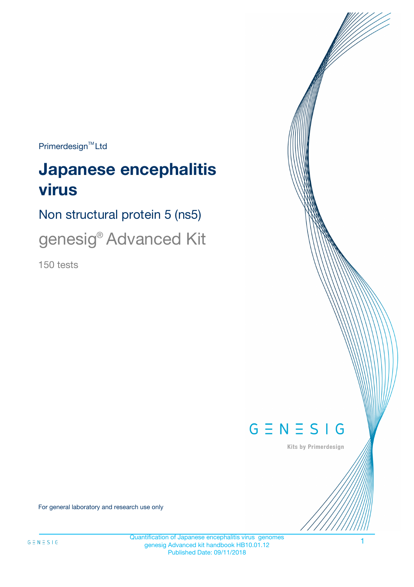$Primerdesign^{\text{TM}}Ltd$ 

# **Japanese encephalitis virus**

Non structural protein 5 (ns5)

genesig® Advanced Kit

150 tests



Kits by Primerdesign

For general laboratory and research use only

Quantification of Japanese encephalitis virus genomes genesig Advanced kit handbook HB10.01.12 Published Date: 09/11/2018

1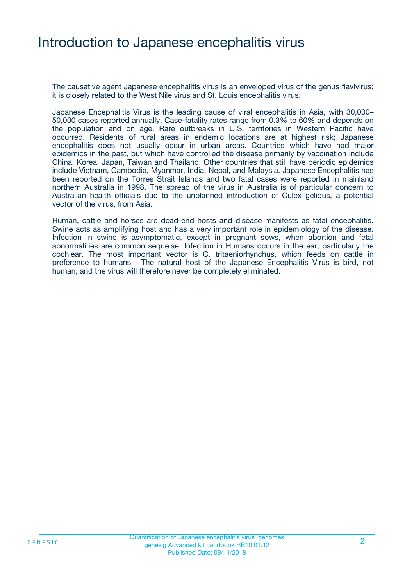### Introduction to Japanese encephalitis virus

The causative agent Japanese encephalitis virus is an enveloped virus of the genus flavivirus; it is closely related to the West Nile virus and St. Louis encephalitis virus.

Japanese Encephalitis Virus is the leading cause of viral encephalitis in Asia, with 30,000– 50,000 cases reported annually. Case-fatality rates range from 0.3% to 60% and depends on the population and on age. Rare outbreaks in U.S. territories in Western Pacific have occurred. Residents of rural areas in endemic locations are at highest risk; Japanese encephalitis does not usually occur in urban areas. Countries which have had major epidemics in the past, but which have controlled the disease primarily by vaccination include China, Korea, Japan, Taiwan and Thailand. Other countries that still have periodic epidemics include Vietnam, Cambodia, Myanmar, India, Nepal, and Malaysia. Japanese Encephalitis has been reported on the Torres Strait Islands and two fatal cases were reported in mainland northern Australia in 1998. The spread of the virus in Australia is of particular concern to Australian health officials due to the unplanned introduction of Culex gelidus, a potential vector of the virus, from Asia.

Human, cattle and horses are dead-end hosts and disease manifests as fatal encephalitis. Swine acts as amplifying host and has a very important role in epidemiology of the disease. Infection in swine is asymptomatic, except in pregnant sows, when abortion and fetal abnormalities are common sequelae. Infection in Humans occurs in the ear, particularly the cochlear. The most important vector is C. tritaeniorhynchus, which feeds on cattle in preference to humans. The natural host of the Japanese Encephalitis Virus is bird, not human, and the virus will therefore never be completely eliminated.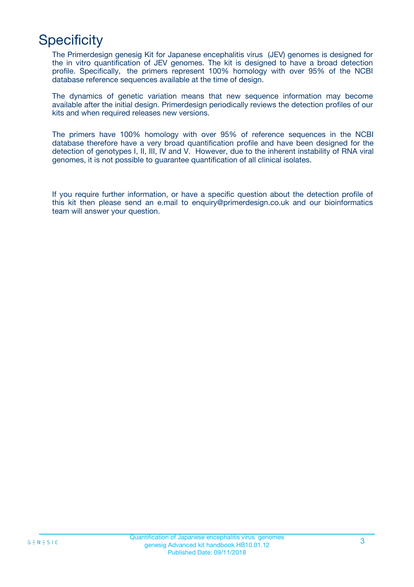## **Specificity**

The Primerdesign genesig Kit for Japanese encephalitis virus (JEV) genomes is designed for the in vitro quantification of JEV genomes. The kit is designed to have a broad detection profile. Specifically, the primers represent 100% homology with over 95% of the NCBI database reference sequences available at the time of design.

The dynamics of genetic variation means that new sequence information may become available after the initial design. Primerdesign periodically reviews the detection profiles of our kits and when required releases new versions.

The primers have 100% homology with over 95% of reference sequences in the NCBI database therefore have a very broad quantification profile and have been designed for the detection of genotypes I, II, III, IV and V. However, due to the inherent instability of RNA viral genomes, it is not possible to guarantee quantification of all clinical isolates.

If you require further information, or have a specific question about the detection profile of this kit then please send an e.mail to enquiry@primerdesign.co.uk and our bioinformatics team will answer your question.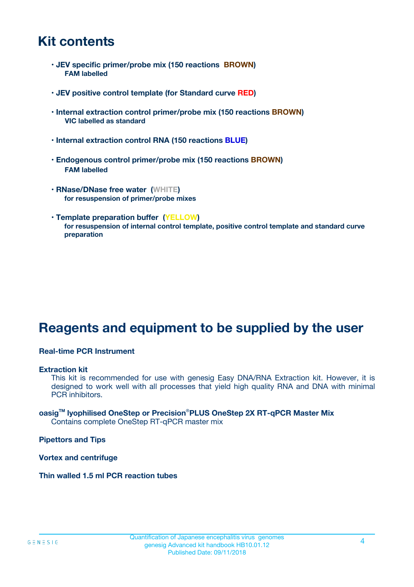### **Kit contents**

- **JEV specific primer/probe mix (150 reactions BROWN) FAM labelled**
- **JEV positive control template (for Standard curve RED)**
- **Internal extraction control primer/probe mix (150 reactions BROWN) VIC labelled as standard**
- **Internal extraction control RNA (150 reactions BLUE)**
- **Endogenous control primer/probe mix (150 reactions BROWN) FAM labelled**
- **RNase/DNase free water (WHITE) for resuspension of primer/probe mixes**
- **Template preparation buffer (YELLOW) for resuspension of internal control template, positive control template and standard curve preparation**

### **Reagents and equipment to be supplied by the user**

#### **Real-time PCR Instrument**

#### **Extraction kit**

This kit is recommended for use with genesig Easy DNA/RNA Extraction kit. However, it is designed to work well with all processes that yield high quality RNA and DNA with minimal PCR inhibitors.

#### **oasigTM lyophilised OneStep or Precision**®**PLUS OneStep 2X RT-qPCR Master Mix** Contains complete OneStep RT-qPCR master mix

**Pipettors and Tips**

**Vortex and centrifuge**

**Thin walled 1.5 ml PCR reaction tubes**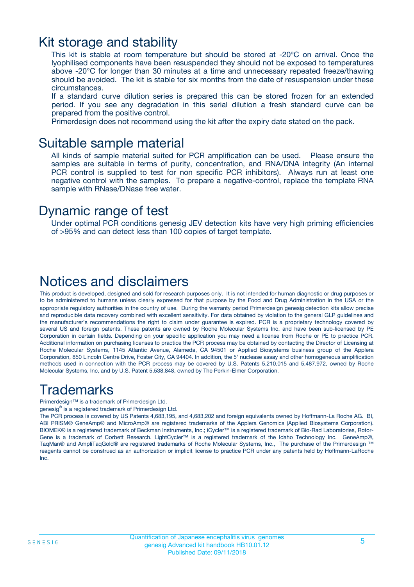### Kit storage and stability

This kit is stable at room temperature but should be stored at -20ºC on arrival. Once the lyophilised components have been resuspended they should not be exposed to temperatures above -20°C for longer than 30 minutes at a time and unnecessary repeated freeze/thawing should be avoided. The kit is stable for six months from the date of resuspension under these circumstances.

If a standard curve dilution series is prepared this can be stored frozen for an extended period. If you see any degradation in this serial dilution a fresh standard curve can be prepared from the positive control.

Primerdesign does not recommend using the kit after the expiry date stated on the pack.

### Suitable sample material

All kinds of sample material suited for PCR amplification can be used. Please ensure the samples are suitable in terms of purity, concentration, and RNA/DNA integrity (An internal PCR control is supplied to test for non specific PCR inhibitors). Always run at least one negative control with the samples. To prepare a negative-control, replace the template RNA sample with RNase/DNase free water.

### Dynamic range of test

Under optimal PCR conditions genesig JEV detection kits have very high priming efficiencies of >95% and can detect less than 100 copies of target template.

### Notices and disclaimers

This product is developed, designed and sold for research purposes only. It is not intended for human diagnostic or drug purposes or to be administered to humans unless clearly expressed for that purpose by the Food and Drug Administration in the USA or the appropriate regulatory authorities in the country of use. During the warranty period Primerdesign genesig detection kits allow precise and reproducible data recovery combined with excellent sensitivity. For data obtained by violation to the general GLP guidelines and the manufacturer's recommendations the right to claim under guarantee is expired. PCR is a proprietary technology covered by several US and foreign patents. These patents are owned by Roche Molecular Systems Inc. and have been sub-licensed by PE Corporation in certain fields. Depending on your specific application you may need a license from Roche or PE to practice PCR. Additional information on purchasing licenses to practice the PCR process may be obtained by contacting the Director of Licensing at Roche Molecular Systems, 1145 Atlantic Avenue, Alameda, CA 94501 or Applied Biosystems business group of the Applera Corporation, 850 Lincoln Centre Drive, Foster City, CA 94404. In addition, the 5' nuclease assay and other homogeneous amplification methods used in connection with the PCR process may be covered by U.S. Patents 5,210,015 and 5,487,972, owned by Roche Molecular Systems, Inc, and by U.S. Patent 5,538,848, owned by The Perkin-Elmer Corporation.

### Trademarks

Primerdesign™ is a trademark of Primerdesign Ltd.

genesig® is a registered trademark of Primerdesign Ltd.

The PCR process is covered by US Patents 4,683,195, and 4,683,202 and foreign equivalents owned by Hoffmann-La Roche AG. BI, ABI PRISM® GeneAmp® and MicroAmp® are registered trademarks of the Applera Genomics (Applied Biosystems Corporation). BIOMEK® is a registered trademark of Beckman Instruments, Inc.; iCycler™ is a registered trademark of Bio-Rad Laboratories, Rotor-Gene is a trademark of Corbett Research. LightCycler™ is a registered trademark of the Idaho Technology Inc. GeneAmp®, TaqMan® and AmpliTaqGold® are registered trademarks of Roche Molecular Systems, Inc., The purchase of the Primerdesign ™ reagents cannot be construed as an authorization or implicit license to practice PCR under any patents held by Hoffmann-LaRoche Inc.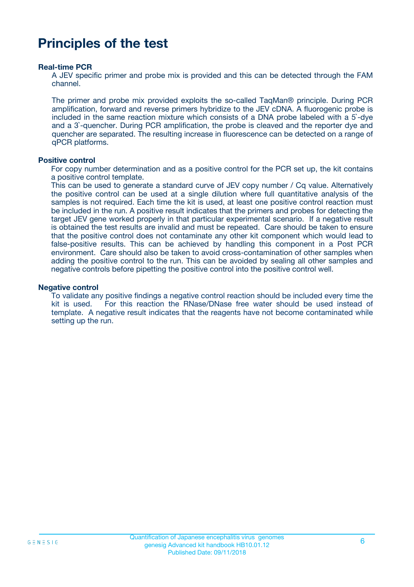### **Principles of the test**

#### **Real-time PCR**

A JEV specific primer and probe mix is provided and this can be detected through the FAM channel.

The primer and probe mix provided exploits the so-called TaqMan® principle. During PCR amplification, forward and reverse primers hybridize to the JEV cDNA. A fluorogenic probe is included in the same reaction mixture which consists of a DNA probe labeled with a 5`-dye and a 3`-quencher. During PCR amplification, the probe is cleaved and the reporter dye and quencher are separated. The resulting increase in fluorescence can be detected on a range of qPCR platforms.

#### **Positive control**

For copy number determination and as a positive control for the PCR set up, the kit contains a positive control template.

This can be used to generate a standard curve of JEV copy number / Cq value. Alternatively the positive control can be used at a single dilution where full quantitative analysis of the samples is not required. Each time the kit is used, at least one positive control reaction must be included in the run. A positive result indicates that the primers and probes for detecting the target JEV gene worked properly in that particular experimental scenario. If a negative result is obtained the test results are invalid and must be repeated. Care should be taken to ensure that the positive control does not contaminate any other kit component which would lead to false-positive results. This can be achieved by handling this component in a Post PCR environment. Care should also be taken to avoid cross-contamination of other samples when adding the positive control to the run. This can be avoided by sealing all other samples and negative controls before pipetting the positive control into the positive control well.

#### **Negative control**

To validate any positive findings a negative control reaction should be included every time the kit is used. For this reaction the RNase/DNase free water should be used instead of template. A negative result indicates that the reagents have not become contaminated while setting up the run.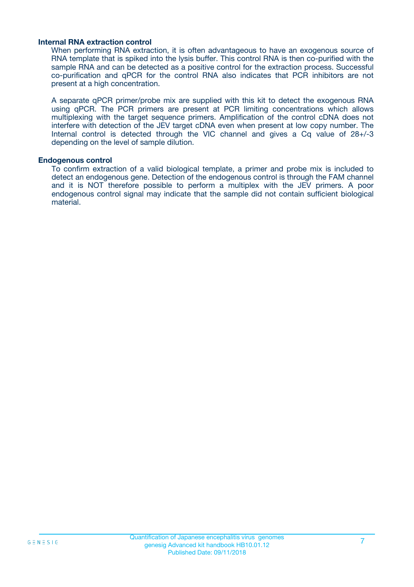#### **Internal RNA extraction control**

When performing RNA extraction, it is often advantageous to have an exogenous source of RNA template that is spiked into the lysis buffer. This control RNA is then co-purified with the sample RNA and can be detected as a positive control for the extraction process. Successful co-purification and qPCR for the control RNA also indicates that PCR inhibitors are not present at a high concentration.

A separate qPCR primer/probe mix are supplied with this kit to detect the exogenous RNA using qPCR. The PCR primers are present at PCR limiting concentrations which allows multiplexing with the target sequence primers. Amplification of the control cDNA does not interfere with detection of the JEV target cDNA even when present at low copy number. The Internal control is detected through the VIC channel and gives a Cq value of 28+/-3 depending on the level of sample dilution.

#### **Endogenous control**

To confirm extraction of a valid biological template, a primer and probe mix is included to detect an endogenous gene. Detection of the endogenous control is through the FAM channel and it is NOT therefore possible to perform a multiplex with the JEV primers. A poor endogenous control signal may indicate that the sample did not contain sufficient biological material.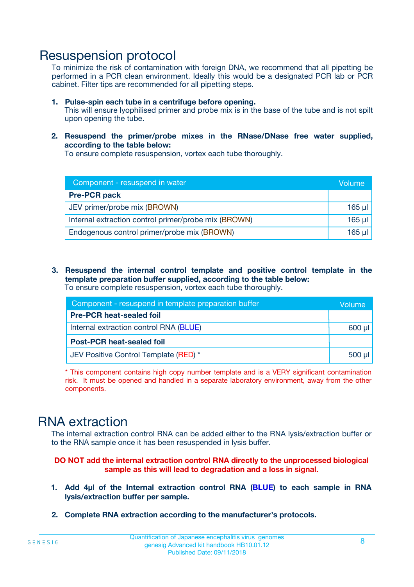### Resuspension protocol

To minimize the risk of contamination with foreign DNA, we recommend that all pipetting be performed in a PCR clean environment. Ideally this would be a designated PCR lab or PCR cabinet. Filter tips are recommended for all pipetting steps.

- **1. Pulse-spin each tube in a centrifuge before opening.** This will ensure lyophilised primer and probe mix is in the base of the tube and is not spilt upon opening the tube.
- **2. Resuspend the primer/probe mixes in the RNase/DNase free water supplied, according to the table below:**

To ensure complete resuspension, vortex each tube thoroughly.

| Component - resuspend in water                       | Volume   |
|------------------------------------------------------|----------|
| <b>Pre-PCR pack</b>                                  |          |
| JEV primer/probe mix (BROWN)                         | $165$ µl |
| Internal extraction control primer/probe mix (BROWN) | $165$ µl |
| Endogenous control primer/probe mix (BROWN)          | 165 µl   |

**3. Resuspend the internal control template and positive control template in the template preparation buffer supplied, according to the table below:** To ensure complete resuspension, vortex each tube thoroughly.

| Component - resuspend in template preparation buffer |          |  |  |
|------------------------------------------------------|----------|--|--|
| <b>Pre-PCR heat-sealed foil</b>                      |          |  |  |
| Internal extraction control RNA (BLUE)               |          |  |  |
| <b>Post-PCR heat-sealed foil</b>                     |          |  |  |
| JEV Positive Control Template (RED) *                | $500$ µl |  |  |

\* This component contains high copy number template and is a VERY significant contamination risk. It must be opened and handled in a separate laboratory environment, away from the other components.

### RNA extraction

The internal extraction control RNA can be added either to the RNA lysis/extraction buffer or to the RNA sample once it has been resuspended in lysis buffer.

#### **DO NOT add the internal extraction control RNA directly to the unprocessed biological sample as this will lead to degradation and a loss in signal.**

- **1. Add 4µ**l **of the Internal extraction control RNA (BLUE) to each sample in RNA lysis/extraction buffer per sample.**
- **2. Complete RNA extraction according to the manufacturer's protocols.**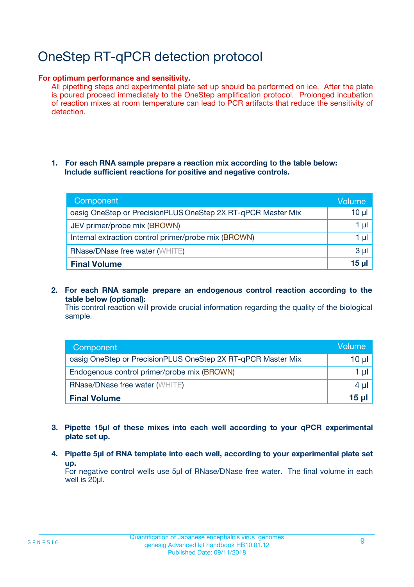# OneStep RT-qPCR detection protocol

#### **For optimum performance and sensitivity.**

All pipetting steps and experimental plate set up should be performed on ice. After the plate is poured proceed immediately to the OneStep amplification protocol. Prolonged incubation of reaction mixes at room temperature can lead to PCR artifacts that reduce the sensitivity of detection.

#### **1. For each RNA sample prepare a reaction mix according to the table below: Include sufficient reactions for positive and negative controls.**

| Component                                                    | <b>Volume</b> |
|--------------------------------------------------------------|---------------|
| oasig OneStep or PrecisionPLUS OneStep 2X RT-qPCR Master Mix | $10 \mu$      |
| JEV primer/probe mix (BROWN)                                 | 1 µI          |
| Internal extraction control primer/probe mix (BROWN)         | 1 µI          |
| RNase/DNase free water (WHITE)                               | $3 \mu$       |
| <b>Final Volume</b>                                          | 15 µl         |

**2. For each RNA sample prepare an endogenous control reaction according to the table below (optional):**

This control reaction will provide crucial information regarding the quality of the biological sample.

| Component                                                    | Volume          |
|--------------------------------------------------------------|-----------------|
| oasig OneStep or PrecisionPLUS OneStep 2X RT-qPCR Master Mix | 10 µl           |
| Endogenous control primer/probe mix (BROWN)                  | 1 µl            |
| <b>RNase/DNase free water (WHITE)</b>                        | $4 \mu$         |
| <b>Final Volume</b>                                          | $15$ µl $\vert$ |

- **3. Pipette 15µl of these mixes into each well according to your qPCR experimental plate set up.**
- **4. Pipette 5µl of RNA template into each well, according to your experimental plate set up.**

For negative control wells use 5µl of RNase/DNase free water. The final volume in each well is 20µl.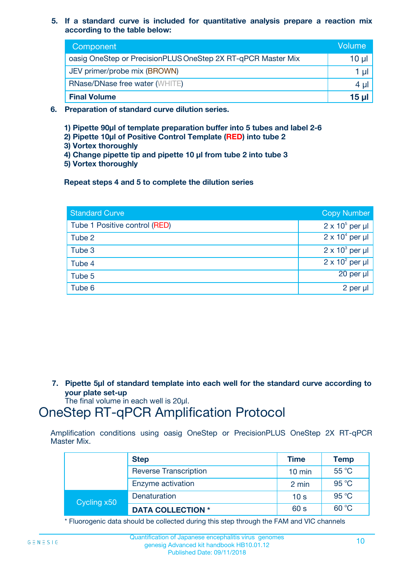**5. If a standard curve is included for quantitative analysis prepare a reaction mix according to the table below:**

| Component                                                    | Volume       |
|--------------------------------------------------------------|--------------|
| oasig OneStep or PrecisionPLUS OneStep 2X RT-qPCR Master Mix | 10 µl        |
| JEV primer/probe mix (BROWN)                                 | 1 µI         |
| <b>RNase/DNase free water (WHITE)</b>                        | 4 µl         |
| <b>Final Volume</b>                                          | <u>15 µl</u> |

- **6. Preparation of standard curve dilution series.**
	- **1) Pipette 90µl of template preparation buffer into 5 tubes and label 2-6**
	- **2) Pipette 10µl of Positive Control Template (RED) into tube 2**
	- **3) Vortex thoroughly**
	- **4) Change pipette tip and pipette 10 µl from tube 2 into tube 3**
	- **5) Vortex thoroughly**

**Repeat steps 4 and 5 to complete the dilution series**

| <b>Standard Curve</b>         | <b>Copy Number</b>     |
|-------------------------------|------------------------|
| Tube 1 Positive control (RED) | $2 \times 10^5$ per µl |
| Tube 2                        | $2 \times 10^4$ per µl |
| Tube 3                        | $2 \times 10^3$ per µl |
| Tube 4                        | $2 \times 10^2$ per µl |
| Tube 5                        | 20 per µl              |
| Tube 6                        | $2$ per $\mu$          |

**7. Pipette 5µl of standard template into each well for the standard curve according to your plate set-up**

The final volume in each well is 20µl.

### OneStep RT-qPCR Amplification Protocol

Amplification conditions using oasig OneStep or PrecisionPLUS OneStep 2X RT-qPCR Master Mix.

|             | <b>Step</b>                  | <b>Time</b>      | <b>Temp</b> |
|-------------|------------------------------|------------------|-------------|
|             | <b>Reverse Transcription</b> | $10 \text{ min}$ | 55 °C       |
|             | Enzyme activation            | 2 min            | 95 °C       |
| Cycling x50 | Denaturation                 | 10 <sub>s</sub>  | 95 °C       |
|             | <b>DATA COLLECTION *</b>     | 60 s             | 60 °C       |

\* Fluorogenic data should be collected during this step through the FAM and VIC channels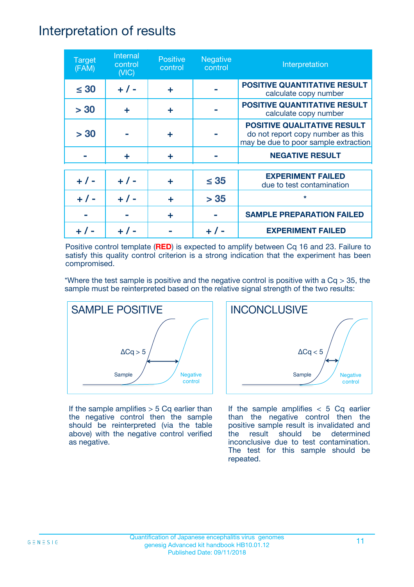### Interpretation of results

| <b>Target</b><br>(FAM) | Internal<br>control<br>(NIC) | <b>Positive</b><br>control | <b>Negative</b><br>control | Interpretation                                                                                                  |
|------------------------|------------------------------|----------------------------|----------------------------|-----------------------------------------------------------------------------------------------------------------|
| $\leq 30$              | $+ 1 -$                      | ÷                          |                            | <b>POSITIVE QUANTITATIVE RESULT</b><br>calculate copy number                                                    |
| > 30                   | ÷                            | ÷                          |                            | <b>POSITIVE QUANTITATIVE RESULT</b><br>calculate copy number                                                    |
| > 30                   |                              | ÷                          |                            | <b>POSITIVE QUALITATIVE RESULT</b><br>do not report copy number as this<br>may be due to poor sample extraction |
|                        | ÷                            | ÷                          |                            | <b>NEGATIVE RESULT</b>                                                                                          |
| $+ 1 -$                | $+ 1 -$                      | ÷                          | $\leq$ 35                  | <b>EXPERIMENT FAILED</b><br>due to test contamination                                                           |
|                        | $+$ / -                      |                            | > 35                       | $\star$                                                                                                         |
|                        |                              | ÷                          |                            | <b>SAMPLE PREPARATION FAILED</b>                                                                                |
|                        |                              |                            |                            | <b>EXPERIMENT FAILED</b>                                                                                        |

Positive control template (**RED**) is expected to amplify between Cq 16 and 23. Failure to satisfy this quality control criterion is a strong indication that the experiment has been compromised.

\*Where the test sample is positive and the negative control is positive with a  $Cq > 35$ , the sample must be reinterpreted based on the relative signal strength of the two results:



If the sample amplifies  $> 5$  Cq earlier than the negative control then the sample should be reinterpreted (via the table above) with the negative control verified as negative.



If the sample amplifies  $< 5$  Cq earlier than the negative control then the positive sample result is invalidated and the result should be determined inconclusive due to test contamination. The test for this sample should be repeated.